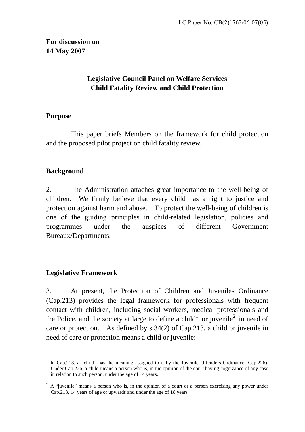**For discussion on 14 May 2007** 

# **Legislative Council Panel on Welfare Services Child Fatality Review and Child Protection**

### **Purpose**

 This paper briefs Members on the framework for child protection and the proposed pilot project on child fatality review.

# **Background**

2. The Administration attaches great importance to the well-being of children. We firmly believe that every child has a right to justice and protection against harm and abuse. To protect the well-being of children is one of the guiding principles in child-related legislation, policies and programmes under the auspices of different Government Bureaux/Departments.

### **Legislative Framework**

3. At present, the Protection of Children and Juveniles Ordinance (Cap.213) provides the legal framework for professionals with frequent contact with children, including social workers, medical professionals and the Police, and the society at large to define a child<sup>1</sup> or juvenile<sup>2</sup> in need of care or protection. As defined by s.34(2) of Cap.213, a child or juvenile in need of care or protection means a child or juvenile: -

 $\overline{a}$ 1 In Cap.213, a "child" has the meaning assigned to it by the Juvenile Offenders Ordinance (Cap.226). Under Cap.226, a child means a person who is, in the opinion of the court having cognizance of any case in relation to such person, under the age of 14 years.

 $2^2$  A "juvenile" means a person who is, in the opinion of a court or a person exercising any power under Cap.213, 14 years of age or upwards and under the age of 18 years.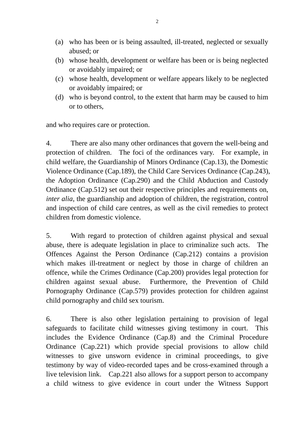- (a) who has been or is being assaulted, ill-treated, neglected or sexually abused; or
- (b) whose health, development or welfare has been or is being neglected or avoidably impaired; or
- (c) whose health, development or welfare appears likely to be neglected or avoidably impaired; or
- (d) who is beyond control, to the extent that harm may be caused to him or to others,

and who requires care or protection.

4. There are also many other ordinances that govern the well-being and protection of children. The foci of the ordinances vary. For example, in child welfare, the Guardianship of Minors Ordinance (Cap.13), the Domestic Violence Ordinance (Cap.189), the Child Care Services Ordinance (Cap.243), the Adoption Ordinance (Cap.290) and the Child Abduction and Custody Ordinance (Cap.512) set out their respective principles and requirements on, *inter alia*, the guardianship and adoption of children, the registration, control and inspection of child care centres, as well as the civil remedies to protect children from domestic violence.

5. With regard to protection of children against physical and sexual abuse, there is adequate legislation in place to criminalize such acts. The Offences Against the Person Ordinance (Cap.212) contains a provision which makes ill-treatment or neglect by those in charge of children an offence, while the Crimes Ordinance (Cap.200) provides legal protection for children against sexual abuse. Furthermore, the Prevention of Child Pornography Ordinance (Cap.579) provides protection for children against child pornography and child sex tourism.

6. There is also other legislation pertaining to provision of legal safeguards to facilitate child witnesses giving testimony in court. This includes the Evidence Ordinance (Cap.8) and the Criminal Procedure Ordinance (Cap.221) which provide special provisions to allow child witnesses to give unsworn evidence in criminal proceedings, to give testimony by way of video-recorded tapes and be cross-examined through a live television link. Cap.221 also allows for a support person to accompany a child witness to give evidence in court under the Witness Support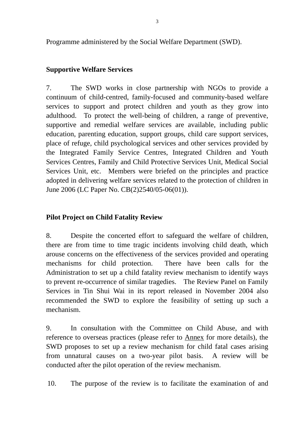Programme administered by the Social Welfare Department (SWD).

### **Supportive Welfare Services**

7. The SWD works in close partnership with NGOs to provide a continuum of child-centred, family-focused and community-based welfare services to support and protect children and youth as they grow into adulthood. To protect the well-being of children, a range of preventive, supportive and remedial welfare services are available, including public education, parenting education, support groups, child care support services, place of refuge, child psychological services and other services provided by the Integrated Family Service Centres, Integrated Children and Youth Services Centres, Family and Child Protective Services Unit, Medical Social Services Unit, etc. Members were briefed on the principles and practice adopted in delivering welfare services related to the protection of children in June 2006 (LC Paper No. CB(2)2540/05-06(01)).

## **Pilot Project on Child Fatality Review**

8. Despite the concerted effort to safeguard the welfare of children, there are from time to time tragic incidents involving child death, which arouse concerns on the effectiveness of the services provided and operating mechanisms for child protection. There have been calls for the Administration to set up a child fatality review mechanism to identify ways to prevent re-occurrence of similar tragedies. The Review Panel on Family Services in Tin Shui Wai in its report released in November 2004 also recommended the SWD to explore the feasibility of setting up such a mechanism.

9. In consultation with the Committee on Child Abuse, and with reference to overseas practices (please refer to Annex for more details), the SWD proposes to set up a review mechanism for child fatal cases arising from unnatural causes on a two-year pilot basis. A review will be conducted after the pilot operation of the review mechanism.

10. The purpose of the review is to facilitate the examination of and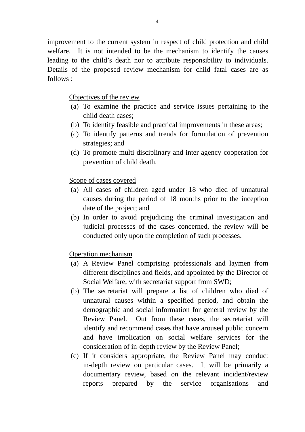improvement to the current system in respect of child protection and child welfare. It is not intended to be the mechanism to identify the causes leading to the child's death nor to attribute responsibility to individuals. Details of the proposed review mechanism for child fatal cases are as follows :

#### Objectives of the review

- (a) To examine the practice and service issues pertaining to the child death cases;
- (b) To identify feasible and practical improvements in these areas;
- (c) To identify patterns and trends for formulation of prevention strategies; and
- (d) To promote multi-disciplinary and inter-agency cooperation for prevention of child death.

#### Scope of cases covered

- (a) All cases of children aged under 18 who died of unnatural causes during the period of 18 months prior to the inception date of the project; and
- (b) In order to avoid prejudicing the criminal investigation and judicial processes of the cases concerned, the review will be conducted only upon the completion of such processes.

#### Operation mechanism

- (a) A Review Panel comprising professionals and laymen from different disciplines and fields, and appointed by the Director of Social Welfare, with secretariat support from SWD;
- (b) The secretariat will prepare a list of children who died of unnatural causes within a specified period, and obtain the demographic and social information for general review by the Review Panel. Out from these cases, the secretariat will identify and recommend cases that have aroused public concern and have implication on social welfare services for the consideration of in-depth review by the Review Panel;
- (c) If it considers appropriate, the Review Panel may conduct in-depth review on particular cases. It will be primarily a documentary review, based on the relevant incident/review reports prepared by the service organisations and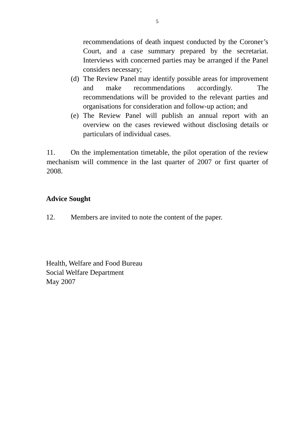recommendations of death inquest conducted by the Coroner's Court, and a case summary prepared by the secretariat. Interviews with concerned parties may be arranged if the Panel considers necessary;

- (d) The Review Panel may identify possible areas for improvement and make recommendations accordingly. The recommendations will be provided to the relevant parties and organisations for consideration and follow-up action; and
- (e) The Review Panel will publish an annual report with an overview on the cases reviewed without disclosing details or particulars of individual cases.

11. On the implementation timetable, the pilot operation of the review mechanism will commence in the last quarter of 2007 or first quarter of 2008.

### **Advice Sought**

12. Members are invited to note the content of the paper.

Health, Welfare and Food Bureau Social Welfare Department May 2007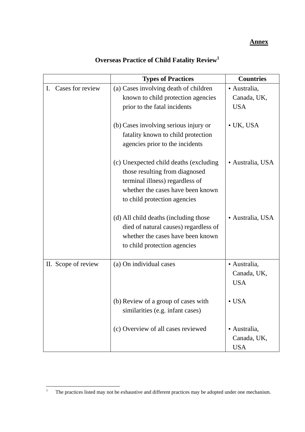#### **Annex**

|                                    | <b>Types of Practices</b>                                                                                                                                                        | <b>Countries</b>                          |
|------------------------------------|----------------------------------------------------------------------------------------------------------------------------------------------------------------------------------|-------------------------------------------|
| Cases for review<br>$\mathbf{I}$ . | (a) Cases involving death of children<br>known to child protection agencies                                                                                                      | · Australia,<br>Canada, UK,               |
|                                    | prior to the fatal incidents                                                                                                                                                     | <b>USA</b>                                |
|                                    | (b) Cases involving serious injury or<br>fatality known to child protection<br>agencies prior to the incidents                                                                   | $\bullet$ UK, USA                         |
|                                    | (c) Unexpected child deaths (excluding<br>those resulting from diagnosed<br>terminal illness) regardless of<br>whether the cases have been known<br>to child protection agencies | · Australia, USA                          |
|                                    | (d) All child deaths (including those<br>died of natural causes) regardless of<br>whether the cases have been known<br>to child protection agencies                              | · Australia, USA                          |
| II. Scope of review                | (a) On individual cases                                                                                                                                                          | · Australia,<br>Canada, UK,<br><b>USA</b> |
|                                    | (b) Review of a group of cases with<br>similarities (e.g. infant cases)                                                                                                          | $\cdot$ USA                               |
|                                    | (c) Overview of all cases reviewed                                                                                                                                               | · Australia,<br>Canada, UK,<br><b>USA</b> |

# **Overseas Practice of Child Fatality Review1**

 $\frac{1}{1}$ The practices listed may not be exhaustive and different practices may be adopted under one mechanism.